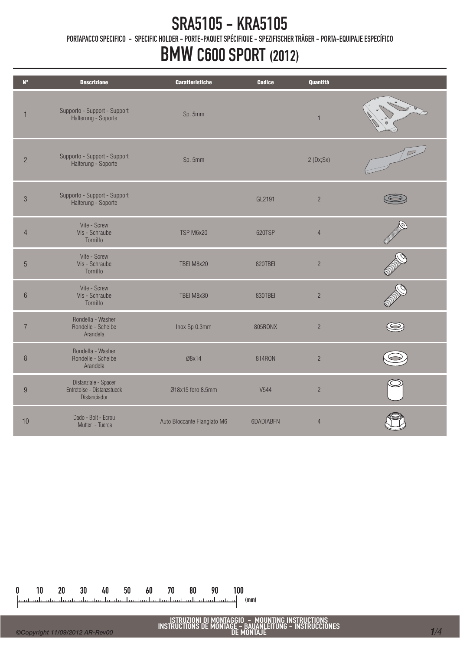PORTAPACCO SPECIFICO - SPECIFIC HOLDER - PORTE-PAQUET SPÉCIFIQUE - SPEZIFISCHER TRÄGER - PORTA-EQUIPAJE ESPECÍFICO

| $N^{\circ}$      | <b>Descrizione</b>                                                 | <b>Caratteristiche</b>      | <b>Codice</b> | Quantità       |  |
|------------------|--------------------------------------------------------------------|-----------------------------|---------------|----------------|--|
| $\mathbf{1}$     | Supporto - Support - Support<br>Halterung - Soporte                | Sp. 5mm                     |               | $\overline{1}$ |  |
| $\overline{c}$   | Supporto - Support - Support<br>Halterung - Soporte                | Sp. 5mm                     |               | 2(Dx;Sx)       |  |
| $\sqrt{3}$       | Supporto - Support - Support<br>Halterung - Soporte                |                             | GL2191        | $\sqrt{2}$     |  |
| $\overline{4}$   | Vite - Screw<br>Vis - Schraube<br>Tornillo                         | TSP M6x20                   | 620TSP        | $\overline{4}$ |  |
| $\overline{5}$   | Vite - Screw<br>Vis - Schraube<br>Tornillo                         | TBEI M8x20                  | 820TBEI       | $\overline{c}$ |  |
| $\,6\,$          | Vite - Screw<br>Vis - Schraube<br>Tornillo                         | TBEI M8x30                  | 830TBEI       | $\sqrt{2}$     |  |
| $\overline{7}$   | Rondella - Washer<br>Rondelle - Scheibe<br>Arandela                | Inox Sp 0.3mm               | 805RONX       | $\overline{c}$ |  |
| $\, 8$           | Rondella - Washer<br>Rondelle - Scheibe<br>Arandela                | Ø8x14                       | 814RON        | $\overline{c}$ |  |
| $\boldsymbol{9}$ | Distanziale - Spacer<br>Entretoise - Distanzstueck<br>Distanciador | Ø18x15 foro 8.5mm           | V544          | $\overline{c}$ |  |
| 10               | Dado - Bolt - Ecrou<br>Mutter - Tuerca                             | Auto Bloccante Flangiato M6 | 6DADIABFN     | $\overline{4}$ |  |

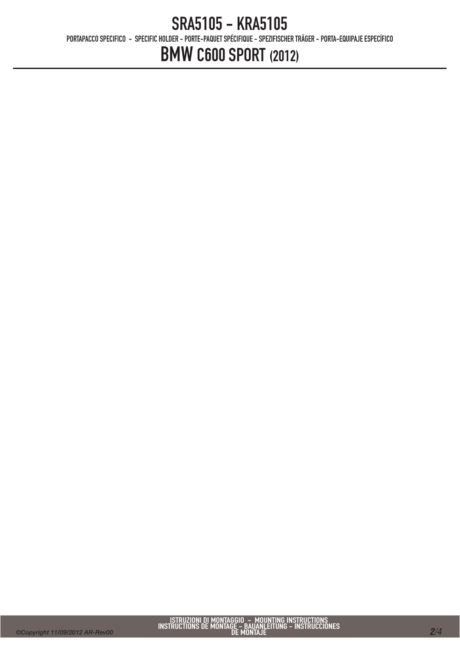PORTAPACCO SPECIFICO - SPECIFIC HOLDER - PORTE-PAQUET SPÉCIFIQUE - SPEZIFISCHER TRÄGER - PORTA-EQUIPAJE ESPECÍFICO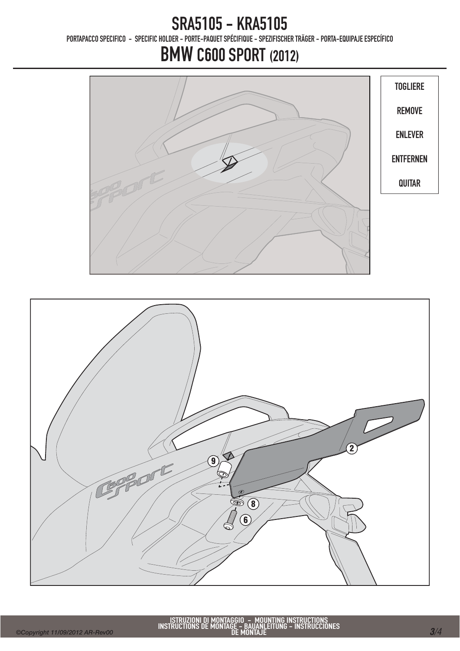PORTAPACCO SPECIFICO - SPECIFIC HOLDER - PORTE-PAQUET SPÉCIFIQUE - SPEZIFISCHER TRÄGER - PORTA-EQUIPAJE ESPECÍFICO